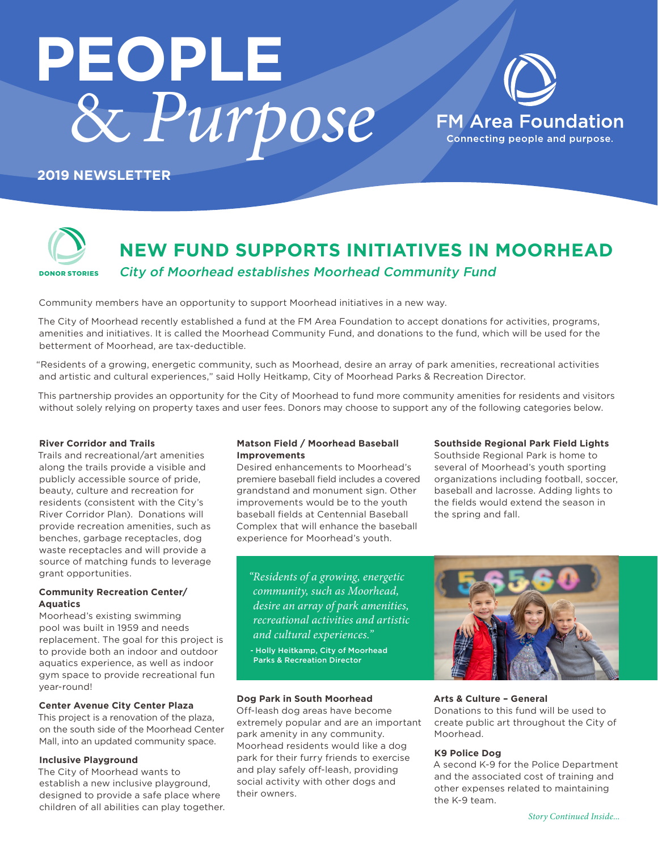# & *Purpose* **PEOPLE**



# **2019 NEWSLETTER**



# **NEW FUND SUPPORTS INITIATIVES IN MOORHEAD** City of Moorhead establishes Moorhead Community Fund

Community members have an opportunity to support Moorhead initiatives in a new way.

The City of Moorhead recently established a fund at the FM Area Foundation to accept donations for activities, programs, amenities and initiatives. It is called the Moorhead Community Fund, and donations to the fund, which will be used for the betterment of Moorhead, are tax-deductible.

"Residents of a growing, energetic community, such as Moorhead, desire an array of park amenities, recreational activities and artistic and cultural experiences," said Holly Heitkamp, City of Moorhead Parks & Recreation Director.

This partnership provides an opportunity for the City of Moorhead to fund more community amenities for residents and visitors without solely relying on property taxes and user fees. Donors may choose to support any of the following categories below.

### **River Corridor and Trails**

Trails and recreational/art amenities along the trails provide a visible and publicly accessible source of pride, beauty, culture and recreation for residents (consistent with the City's River Corridor Plan). Donations will provide recreation amenities, such as benches, garbage receptacles, dog waste receptacles and will provide a source of matching funds to leverage grant opportunities.

# **Community Recreation Center/ Aquatics**

Moorhead's existing swimming pool was built in 1959 and needs replacement. The goal for this project is to provide both an indoor and outdoor aquatics experience, as well as indoor gym space to provide recreational fun year-round!

# **Center Avenue City Center Plaza**

This project is a renovation of the plaza, on the south side of the Moorhead Center Mall, into an updated community space.

### **Inclusive Playground**

The City of Moorhead wants to establish a new inclusive playground, designed to provide a safe place where children of all abilities can play together.

# **Matson Field / Moorhead Baseball Improvements**

Desired enhancements to Moorhead's premiere baseball field includes a covered grandstand and monument sign. Other improvements would be to the youth baseball fields at Centennial Baseball Complex that will enhance the baseball experience for Moorhead's youth.

**Southside Regional Park Field Lights**

Southside Regional Park is home to several of Moorhead's youth sporting organizations including football, soccer, baseball and lacrosse. Adding lights to the fields would extend the season in the spring and fall.

*"Residents of a growing, energetic community, such as Moorhead, desire an array of park amenities, recreational activities and artistic and cultural experiences."* 

- Holly Heitkamp, City of Moorhead Parks & Recreation Director

# **Dog Park in South Moorhead**

Off-leash dog areas have become extremely popular and are an important park amenity in any community. Moorhead residents would like a dog park for their furry friends to exercise and play safely off-leash, providing social activity with other dogs and their owners.



# **Arts & Culture – General**

Donations to this fund will be used to create public art throughout the City of Moorhead.

# **K9 Police Dog**

A second K-9 for the Police Department and the associated cost of training and other expenses related to maintaining the K-9 team.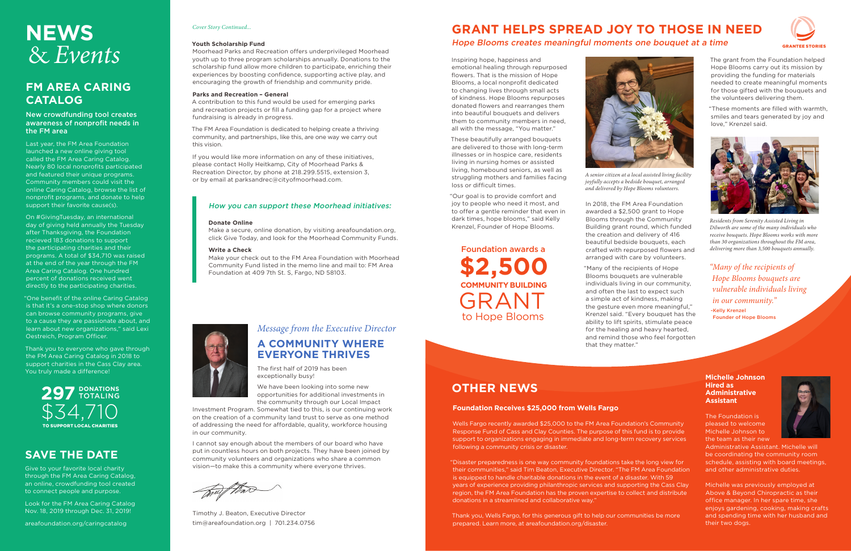# **A COMMUNITY WHERE EVERYONE THRIVES**

The first half of 2019 has been exceptionally busy!

We have been looking into some new opportunities for additional investments in the community through our Local Impact

Investment Program. Somewhat tied to this, is our continuing work on the creation of a community land trust to serve as one method of addressing the need for affordable, quality, workforce housing in our community.

I cannot say enough about the members of our board who have put in countless hours on both projects. They have been joined by community volunteers and organizations who share a common vision—to make this a community where everyone thrives.

Timothy J. Beaton, Executive Director tim@areafoundation.org | 701.234.0756

Inspiring hope, happiness and emotional healing through repurposed flowers. That is the mission of Hope Blooms, a local nonprofit dedicated to changing lives through small acts of kindness. Hope Blooms repurposes donated flowers and rearranges them into beautiful bouquets and delivers them to community members in need, all with the message, "You matter."

These beautifully arranged bouquets are delivered to those with long-term illnesses or in hospice care, residents living in nursing homes or assisted living, homebound seniors, as well as struggling mothers and families facing loss or difficult times.

"Our goal is to provide comfort and joy to people who need it most, and to offer a gentle reminder that even in dark times, hope blooms," said Kelly Krenzel, Founder of Hope Blooms.

# **FM AREA CARING CATALOG**

# New crowdfunding tool creates awareness of nonprofit needs in the FM area

# **NEWS** *Cover Story Continued...* **GRANT HELPS SPREAD JOY TO THOSE IN NEED** Hope Blooms creates meaningful moments one bouquet at a time

Last year, the FM Area Foundation launched a new online giving tool called the FM Area Caring Catalog. Nearly 80 local nonprofits participated and featured their unique programs. Community members could visit the online Caring Catalog, browse the list of nonprofit programs, and donate to help support their favorite cause(s).

On #GivingTuesday, an international day of giving held annually the Tuesday after Thanksgiving, the Foundation recieved 183 donations to support the participating charities and their programs. A total of \$34,710 was raised at the end of the year through the FM Area Caring Catalog. One hundred percent of donations received went directly to the participating charities.

"One benefit of the online Caring Catalog is that it's a one-stop shop where donors can browse community programs, give to a cause they are passionate about, and learn about new organizations," said Lexi Oestreich, Program Officer.

Thank you to everyone who gave through the FM Area Caring Catalog in 2018 to support charities in the Cass Clay area. You truly made a difference!

In 2018, the FM Area Foundation awarded a \$2,500 grant to Hope Blooms through the Community Building grant round, which funded the creation and delivery of 416 beautiful bedside bouquets, each crafted with repurposed flowers and arranged with care by volunteers.

"Many of the recipients of Hope Blooms bouquets are vulnerable individuals living in our community, and often the last to expect such a simple act of kindness, making the gesture even more meaningful," Krenzel said. "Every bouquet has the ability to lift spirits, stimulate peace for the healing and heavy hearted, and remind those who feel forgotten that they matter."

# *Message from the Executive Director*

# & *Events*

# **Foundation Receives \$25,000 from Wells Fargo**

Wells Fargo recently awarded \$25,000 to the FM Area Foundation's Community Response Fund of Cass and Clay Counties. The purpose of this fund is to provide support to organizations engaging in immediate and long-term recovery services following a community crisis or disaster.

"Disaster preparedness is one way community foundations take the long view for their communities," said Tim Beaton, Executive Director. "The FM Area Foundation is equipped to handle charitable donations in the event of a disaster. With 59 years of experience providing philanthropic services and supporting the Cass Clay region, the FM Area Foundation has the proven expertise to collect and distribute donations in a streamlined and collaborative way."

Thank you, Wells Fargo, for this generous gift to help our communities be more prepared. Learn more, at areafoundation.org/disaster.

# **OTHER NEWS**

*"Many of the recipients of Hope Blooms bouquets are vulnerable individuals living in our community."* -Kelly Krenzel

Founder of Hope Blooms



**\$2,500 COMMUNITY BUILDING** GRANT Foundation awards a to Hope Blooms



The grant from the Foundation helped Hope Blooms carry out its mission by providing the funding for materials needed to create meaningful moments for those gifted with the bouquets and the volunteers delivering them.

"These moments are filled with warmth, smiles and tears generated by joy and love," Krenzel said.

### **Youth Scholarship Fund**

Moorhead Parks and Recreation offers underprivileged Moorhead youth up to three program scholarships annually. Donations to the scholarship fund allow more children to participate, enriching their experiences by boosting confidence, supporting active play, and encouraging the growth of friendship and community pride.

## **Parks and Recreation – General**

A contribution to this fund would be used for emerging parks and recreation projects or fill a funding gap for a project where fundraising is already in progress.

The FM Area Foundation is dedicated to helping create a thriving community, and partnerships, like this, are one way we carry out this vision.

If you would like more information on any of these initiatives, please contact Holly Heitkamp, City of Moorhead Parks & Recreation Director, by phone at 218.299.5515, extension 3, or by email at parksandrec@cityofmoorhead.com.

# How you can support these Moorhead initiatives:

## **Donate Online**

Make a secure, online donation, by visiting areafoundation.org, click Give Today, and look for the Moorhead Community Funds.

## **Write a Check**

Make your check out to the FM Area Foundation with Moorhead Community Fund listed in the memo line and mail to: FM Area Foundation at 409 7th St. S, Fargo, ND 58103.



# **SAVE THE DATE**

Give to your favorite local charity through the FM Area Caring Catalog, an online, crowdfunding tool created to connect people and purpose.

Look for the FM Area Caring Catalog Nov. 18, 2019 through Dec. 31, 2019!

## areafoundation.org/caringcatalog

# **Michelle Johnson Hired as Administrative Assistant**

The Foundation is pleased to welcome Michelle Johnson to the team as their new



Administrative Assistant. Michelle will be coordinating the community room schedule, assisting with board meetings, and other administrative duties.

Michelle was previously employed at Above & Beyond Chiropractic as their office manager. In her spare time, she enjoys gardening, cooking, making crafts and spending time with her husband and their two dogs.

# *Cover Story Continued...*



*A senior citizen at a local assisted living facility joyfully accepts a bedside bouquet, arranged and delivered by Hope Blooms volunteers.*



*Residents from Serenity Assisted Living in Dilworth are some of the many individuals who receive bouquets. Hope Blooms works with more than 30 organizations throughout the FM area, delivering more than 3,500 bouquets annually.*